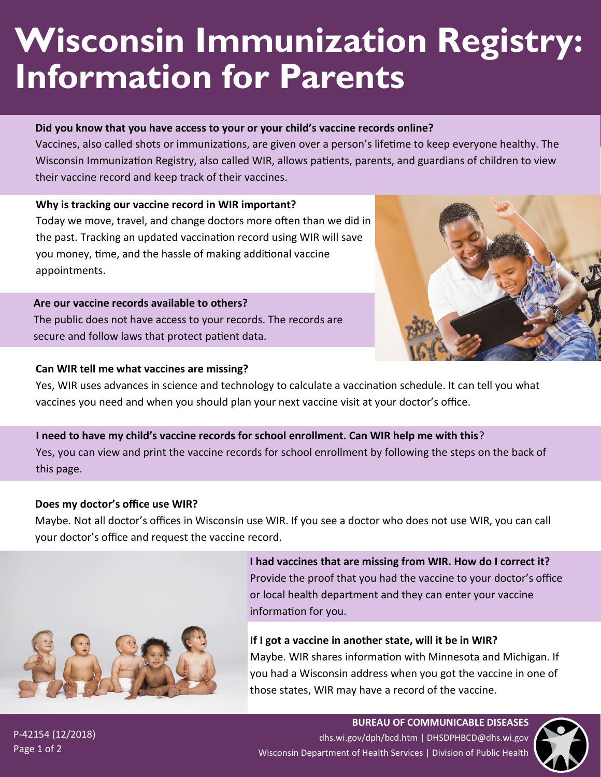# **Wisconsin Immunization Registry: Information for Parents**

#### **Did you know that you have access to your or your child's vaccine records online?**

Vaccines, also called shots or immunizations, are given over a person's lifetime to keep everyone healthy. The Wisconsin Immunization Registry, also called WIR, allows patients, parents, and guardians of children to view their vaccine record and keep track of their vaccines.

#### **Why is tracking our vaccine record in WIR important?**

Today we move, travel, and change doctors more often than we did in the past. Tracking an updated vaccination record using WIR will save you money, time, and the hassle of making additional vaccine appointments.

#### **Are our vaccine records available to others?**

The public does not have access to your records. The records are secure and follow laws that protect patient data.

#### **Can WIR tell me what vaccines are missing?**



Yes, WIR uses advances in science and technology to calculate a vaccination schedule. It can tell you what vaccines you need and when you should plan your next vaccine visit at your doctor's office.

# **I need to have my child's vaccine records for school enrollment. Can WIR help me with this**? Yes, you can view and print the vaccine records for school enrollment by following the steps on the back of this page.

#### **Does my doctor's office use WIR?**

Maybe. Not all doctor's offices in Wisconsin use WIR. If you see a doctor who does not use WIR, you can call your doctor's office and request the vaccine record.



**I had vaccines that are missing from WIR. How do I correct it?** Provide the proof that you had the vaccine to your doctor's office or local health department and they can enter your vaccine information for you.

**If I got a vaccine in another state, will it be in WIR?** Maybe. WIR shares information with Minnesota and Michigan. If you had a Wisconsin address when you got the vaccine in one of those states, WIR may have a record of the vaccine.

P-42154 (12/2018) Page 1 of 2

**BUREAU OF COMMUNICABLE DISEASES**  dhs.wi.gov/dph/bcd.htm | DHSDPHBCD@dhs.wi.gov Wisconsin Department of Health Services | Division of Public Health